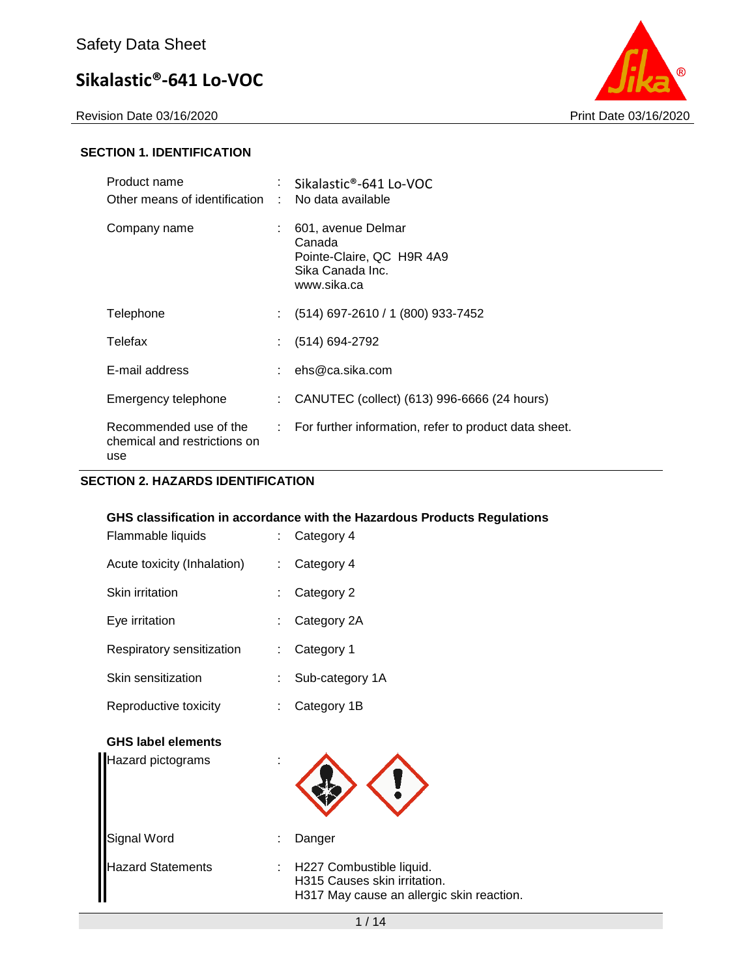Revision Date 03/16/2020 Print Date 03/16/2020



#### **SECTION 1. IDENTIFICATION**

| Product name<br>Other means of identification :               |    | Sikalastic®-641 Lo-VOC<br>No data available                                                  |
|---------------------------------------------------------------|----|----------------------------------------------------------------------------------------------|
| Company name                                                  |    | 601, avenue Delmar<br>Canada<br>Pointe-Claire, QC H9R 4A9<br>Sika Canada Inc.<br>www.sika.ca |
| Telephone                                                     | ÷. | (514) 697-2610 / 1 (800) 933-7452                                                            |
| Telefax                                                       |    | $(514) 694-2792$                                                                             |
| E-mail address                                                |    | ehs@ca.sika.com                                                                              |
| Emergency telephone                                           | ÷. | CANUTEC (collect) (613) 996-6666 (24 hours)                                                  |
| Recommended use of the<br>chemical and restrictions on<br>use |    | $\therefore$ For further information, refer to product data sheet.                           |

#### **SECTION 2. HAZARDS IDENTIFICATION**

#### **GHS classification in accordance with the Hazardous Products Regulations**

| Flammable liquids           | Category 4                              |
|-----------------------------|-----------------------------------------|
| Acute toxicity (Inhalation) | Category 4<br>$\mathbb{R}^{\mathbb{Z}}$ |
| Skin irritation             | Category 2                              |
| Eye irritation              | Category 2A                             |
| Respiratory sensitization   | Category 1<br>t.                        |
| Skin sensitization          | Sub-category 1A                         |
| Reproductive toxicity       | Category 1B                             |
| <b>GHS label elements</b>   |                                         |
| Hazard pictograms           |                                         |
| Signal Word                 | Danger                                  |

Hazard Statements : H227 Combustible liquid. H315 Causes skin irritation. H317 May cause an allergic skin reaction.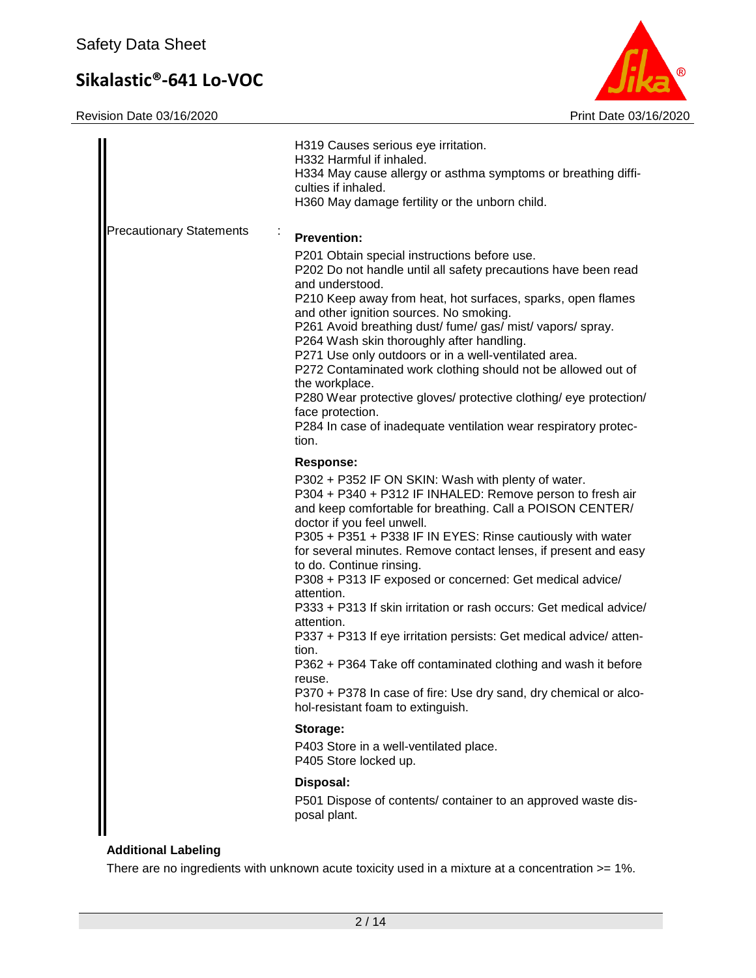Revision Date 03/16/2020 **Print Date 03/16/2020** 



|                                 | H319 Causes serious eye irritation.<br>H332 Harmful if inhaled.<br>H334 May cause allergy or asthma symptoms or breathing diffi-<br>culties if inhaled.<br>H360 May damage fertility or the unborn child.                                                                                                                                                                                                                                                                                                                                                                                                                                                                                                                                                                                                                                                                                                                                                                                                |
|---------------------------------|----------------------------------------------------------------------------------------------------------------------------------------------------------------------------------------------------------------------------------------------------------------------------------------------------------------------------------------------------------------------------------------------------------------------------------------------------------------------------------------------------------------------------------------------------------------------------------------------------------------------------------------------------------------------------------------------------------------------------------------------------------------------------------------------------------------------------------------------------------------------------------------------------------------------------------------------------------------------------------------------------------|
| <b>Precautionary Statements</b> | <b>Prevention:</b><br>P201 Obtain special instructions before use.<br>P202 Do not handle until all safety precautions have been read<br>and understood.<br>P210 Keep away from heat, hot surfaces, sparks, open flames<br>and other ignition sources. No smoking.<br>P261 Avoid breathing dust/ fume/ gas/ mist/ vapors/ spray.<br>P264 Wash skin thoroughly after handling.<br>P271 Use only outdoors or in a well-ventilated area.<br>P272 Contaminated work clothing should not be allowed out of<br>the workplace.<br>P280 Wear protective gloves/ protective clothing/ eye protection/<br>face protection.<br>P284 In case of inadequate ventilation wear respiratory protec-<br>tion.                                                                                                                                                                                                                                                                                                              |
|                                 | <b>Response:</b><br>P302 + P352 IF ON SKIN: Wash with plenty of water.<br>P304 + P340 + P312 IF INHALED: Remove person to fresh air<br>and keep comfortable for breathing. Call a POISON CENTER/<br>doctor if you feel unwell.<br>P305 + P351 + P338 IF IN EYES: Rinse cautiously with water<br>for several minutes. Remove contact lenses, if present and easy<br>to do. Continue rinsing.<br>P308 + P313 IF exposed or concerned: Get medical advice/<br>attention.<br>P333 + P313 If skin irritation or rash occurs: Get medical advice/<br>attention.<br>P337 + P313 If eye irritation persists: Get medical advice/atten-<br>tion.<br>P362 + P364 Take off contaminated clothing and wash it before<br>reuse.<br>P370 + P378 In case of fire: Use dry sand, dry chemical or alco-<br>hol-resistant foam to extinguish.<br>Storage:<br>P403 Store in a well-ventilated place.<br>P405 Store locked up.<br>Disposal:<br>P501 Dispose of contents/ container to an approved waste dis-<br>posal plant. |

### **Additional Labeling**

There are no ingredients with unknown acute toxicity used in a mixture at a concentration >= 1%.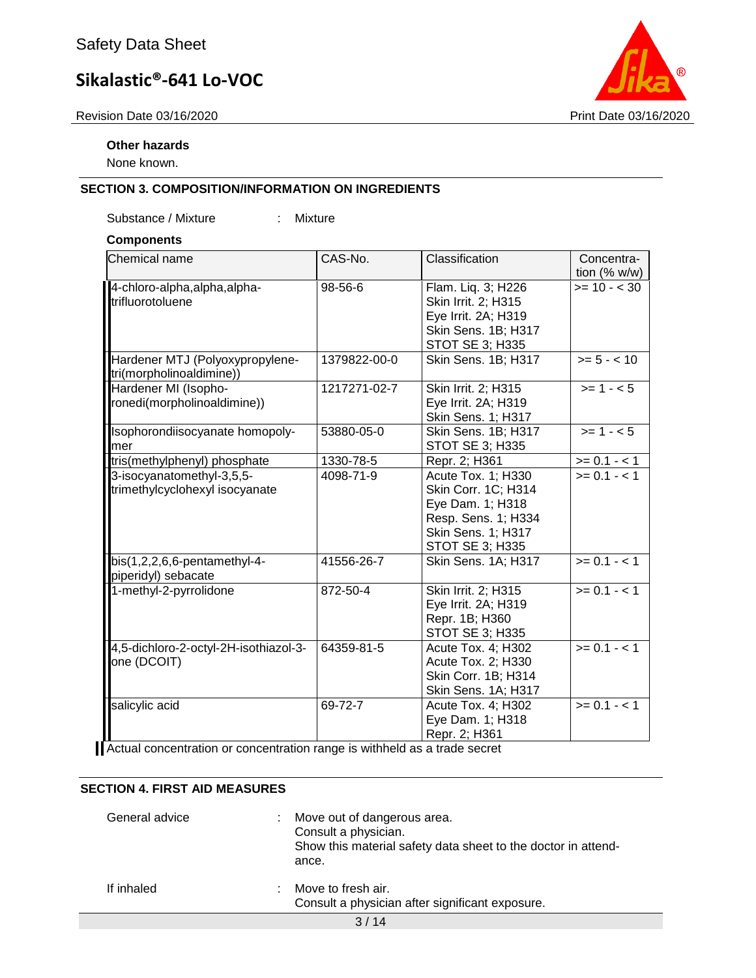Revision Date 03/16/2020 **Print Date 03/16/2020** 



None known.

#### **SECTION 3. COMPOSITION/INFORMATION ON INGREDIENTS**

Substance / Mixture : Mixture

#### **Components**

| Chemical name                                               | CAS-No.      | Classification                                                                                                                | Concentra-                     |
|-------------------------------------------------------------|--------------|-------------------------------------------------------------------------------------------------------------------------------|--------------------------------|
| 4-chloro-alpha, alpha, alpha-<br>trifluorotoluene           | 98-56-6      | Flam. Liq. 3; H226<br>Skin Irrit. 2; H315<br>Eye Irrit. 2A; H319<br>Skin Sens. 1B; H317<br><b>STOT SE 3; H335</b>             | tion $(% w/w)$<br>$>= 10 - 30$ |
| Hardener MTJ (Polyoxypropylene-<br>tri(morpholinoaldimine)) | 1379822-00-0 | Skin Sens. 1B; H317                                                                                                           | $>= 5 - < 10$                  |
| Hardener MI (Isopho-<br>ronedi(morpholinoaldimine))         | 1217271-02-7 | Skin Irrit. 2; H315<br>Eye Irrit. 2A; H319<br>Skin Sens. 1; H317                                                              | $>= 1 - 5$                     |
| Isophorondiisocyanate homopoly-<br>lmer                     | 53880-05-0   | Skin Sens. 1B; H317<br><b>STOT SE 3; H335</b>                                                                                 | $>= 1 - 5$                     |
| tris(methylphenyl) phosphate                                | 1330-78-5    | Repr. 2; H361                                                                                                                 | $>= 0.1 - 1$                   |
| 3-isocyanatomethyl-3,5,5-<br>trimethylcyclohexyl isocyanate | 4098-71-9    | Acute Tox. 1; H330<br>Skin Corr. 1C; H314<br>Eye Dam. 1; H318<br>Resp. Sens. 1; H334<br>Skin Sens. 1; H317<br>STOT SE 3; H335 | $>= 0.1 - 1$                   |
| $bis(1,2,2,6,6-pentament-4-$<br>piperidyl) sebacate         | 41556-26-7   | Skin Sens. 1A; H317                                                                                                           | $>= 0.1 - 1$                   |
| 1-methyl-2-pyrrolidone                                      | 872-50-4     | Skin Irrit. 2; H315<br>Eye Irrit. 2A; H319<br>Repr. 1B; H360<br>STOT SE 3; H335                                               | $>= 0.1 - 1$                   |
| 4,5-dichloro-2-octyl-2H-isothiazol-3-<br>one (DCOIT)        | 64359-81-5   | Acute Tox. 4; H302<br>Acute Tox. 2; H330<br>Skin Corr. 1B; H314<br>Skin Sens. 1A; H317                                        | $>= 0.1 - 1$                   |
| salicylic acid                                              | 69-72-7      | Acute Tox. 4; H302<br>Eye Dam. 1; H318<br>Repr. 2; H361                                                                       | $>= 0.1 - 1$                   |

Actual concentration or concentration range is withheld as a trade secret

#### **SECTION 4. FIRST AID MEASURES**

| General advice | ÷. | Move out of dangerous area.<br>Consult a physician.<br>Show this material safety data sheet to the doctor in attend-<br>ance. |
|----------------|----|-------------------------------------------------------------------------------------------------------------------------------|
| If inhaled     |    | Move to fresh air.<br>Consult a physician after significant exposure.                                                         |



3 / 14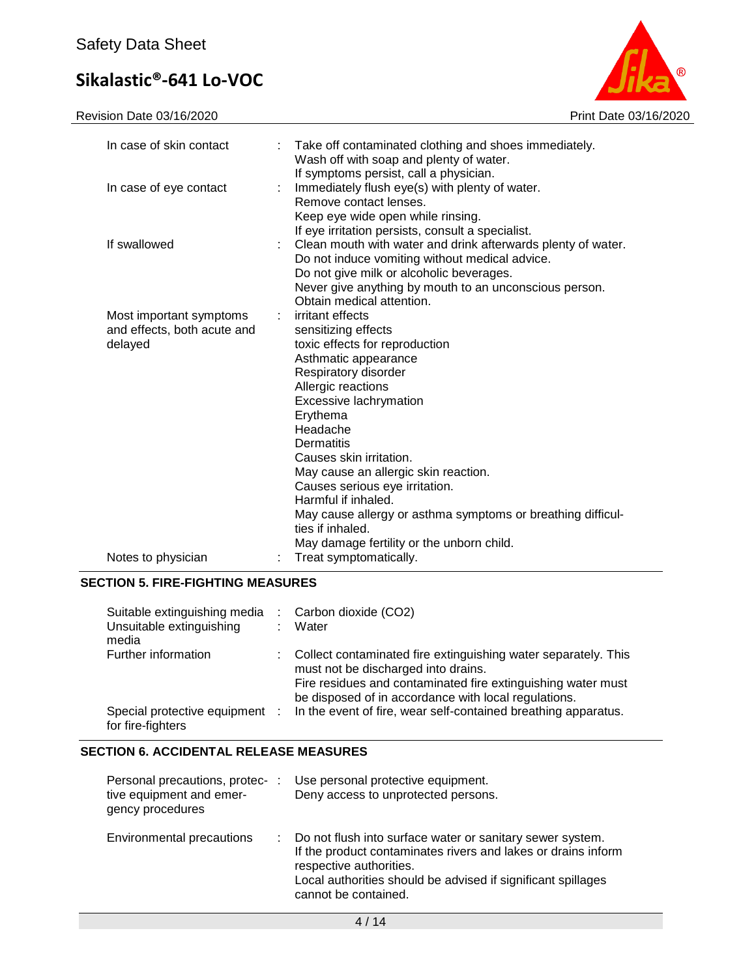Revision Date 03/16/2020 **Print Date 03/16/2020** 



| In case of skin contact<br>÷.                                           | Take off contaminated clothing and shoes immediately.<br>Wash off with soap and plenty of water.<br>If symptoms persist, call a physician.                                                                      |
|-------------------------------------------------------------------------|-----------------------------------------------------------------------------------------------------------------------------------------------------------------------------------------------------------------|
| In case of eye contact<br>÷.                                            | Immediately flush eye(s) with plenty of water.<br>Remove contact lenses.<br>Keep eye wide open while rinsing.                                                                                                   |
| If swallowed<br>÷.                                                      | If eye irritation persists, consult a specialist.<br>Clean mouth with water and drink afterwards plenty of water.<br>Do not induce vomiting without medical advice.<br>Do not give milk or alcoholic beverages. |
|                                                                         | Never give anything by mouth to an unconscious person.<br>Obtain medical attention.                                                                                                                             |
| Most important symptoms<br>÷.<br>and effects, both acute and<br>delayed | irritant effects<br>sensitizing effects<br>toxic effects for reproduction                                                                                                                                       |
|                                                                         | Asthmatic appearance<br>Respiratory disorder                                                                                                                                                                    |
|                                                                         | Allergic reactions<br>Excessive lachrymation                                                                                                                                                                    |
|                                                                         | Erythema<br>Headache                                                                                                                                                                                            |
|                                                                         | Dermatitis                                                                                                                                                                                                      |
|                                                                         | Causes skin irritation.<br>May cause an allergic skin reaction.                                                                                                                                                 |
|                                                                         | Causes serious eye irritation.                                                                                                                                                                                  |
|                                                                         | Harmful if inhaled.<br>May cause allergy or asthma symptoms or breathing difficul-<br>ties if inhaled.                                                                                                          |
| Notes to physician                                                      | May damage fertility or the unborn child.<br>Treat symptomatically.                                                                                                                                             |

#### **SECTION 5. FIRE-FIGHTING MEASURES**

| Suitable extinguishing media<br>Unsuitable extinguishing<br>media | Carbon dioxide (CO2)<br>Water                                                                                                                                                                                                 |
|-------------------------------------------------------------------|-------------------------------------------------------------------------------------------------------------------------------------------------------------------------------------------------------------------------------|
| Further information                                               | Collect contaminated fire extinguishing water separately. This<br>must not be discharged into drains.<br>Fire residues and contaminated fire extinguishing water must<br>be disposed of in accordance with local regulations. |
| Special protective equipment :<br>for fire-fighters               | In the event of fire, wear self-contained breathing apparatus.                                                                                                                                                                |

### **SECTION 6. ACCIDENTAL RELEASE MEASURES**

| Personal precautions, protec- :<br>tive equipment and emer-<br>gency procedures |   | Use personal protective equipment.<br>Deny access to unprotected persons.                                                                                                                                                                     |
|---------------------------------------------------------------------------------|---|-----------------------------------------------------------------------------------------------------------------------------------------------------------------------------------------------------------------------------------------------|
| Environmental precautions                                                       | ÷ | Do not flush into surface water or sanitary sewer system.<br>If the product contaminates rivers and lakes or drains inform<br>respective authorities.<br>Local authorities should be advised if significant spillages<br>cannot be contained. |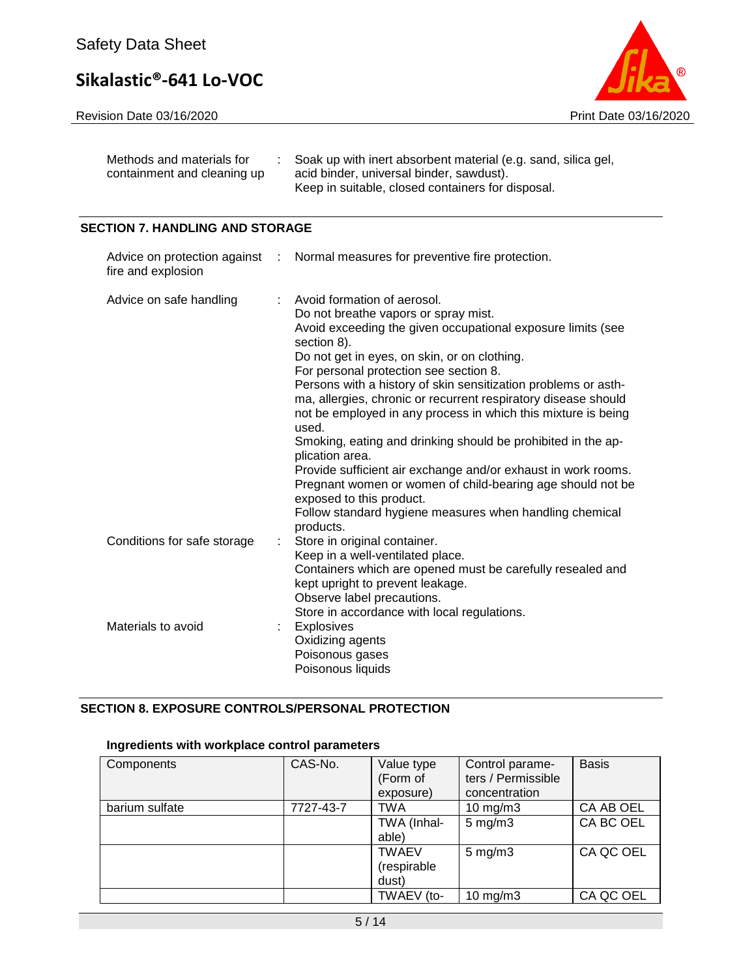Revision Date 03/16/2020 **Print Date 03/16/2020** 



| Methods and materials for   | : Soak up with inert absorbent material (e.g. sand, silica gel, |
|-----------------------------|-----------------------------------------------------------------|
| containment and cleaning up | acid binder, universal binder, sawdust).                        |
|                             | Keep in suitable, closed containers for disposal.               |

### **SECTION 7. HANDLING AND STORAGE**

| fire and explosion          | Advice on protection against : Normal measures for preventive fire protection.                                                                                                                                                                                                                                                                                                                                                                                                                                                                                                                                                                                                                                                                                     |
|-----------------------------|--------------------------------------------------------------------------------------------------------------------------------------------------------------------------------------------------------------------------------------------------------------------------------------------------------------------------------------------------------------------------------------------------------------------------------------------------------------------------------------------------------------------------------------------------------------------------------------------------------------------------------------------------------------------------------------------------------------------------------------------------------------------|
| Advice on safe handling     | Avoid formation of aerosol.<br>Do not breathe vapors or spray mist.<br>Avoid exceeding the given occupational exposure limits (see<br>section 8).<br>Do not get in eyes, on skin, or on clothing.<br>For personal protection see section 8.<br>Persons with a history of skin sensitization problems or asth-<br>ma, allergies, chronic or recurrent respiratory disease should<br>not be employed in any process in which this mixture is being<br>used.<br>Smoking, eating and drinking should be prohibited in the ap-<br>plication area.<br>Provide sufficient air exchange and/or exhaust in work rooms.<br>Pregnant women or women of child-bearing age should not be<br>exposed to this product.<br>Follow standard hygiene measures when handling chemical |
| Conditions for safe storage | products.<br>Store in original container.<br>Keep in a well-ventilated place.<br>Containers which are opened must be carefully resealed and<br>kept upright to prevent leakage.<br>Observe label precautions.<br>Store in accordance with local regulations.                                                                                                                                                                                                                                                                                                                                                                                                                                                                                                       |
| Materials to avoid          | Explosives<br>Oxidizing agents<br>Poisonous gases<br>Poisonous liquids                                                                                                                                                                                                                                                                                                                                                                                                                                                                                                                                                                                                                                                                                             |

### **SECTION 8. EXPOSURE CONTROLS/PERSONAL PROTECTION**

### **Ingredients with workplace control parameters**

| Components     | CAS-No.   | Value type<br>(Form of<br>exposure)  | Control parame-<br>ters / Permissible<br>concentration | <b>Basis</b> |
|----------------|-----------|--------------------------------------|--------------------------------------------------------|--------------|
| barium sulfate | 7727-43-7 | <b>TWA</b>                           | $10 \text{ mg/m}$                                      | CA AB OEL    |
|                |           | TWA (Inhal-<br>able)                 | $5 \text{ mg/m}$ 3                                     | CA BC OEL    |
|                |           | <b>TWAEV</b><br>(respirable<br>dust) | $5 \text{ mg/m}$ 3                                     | CA QC OEL    |
|                |           | TWAEV (to-                           | $10$ mg/m $3$                                          | CA QC OEL    |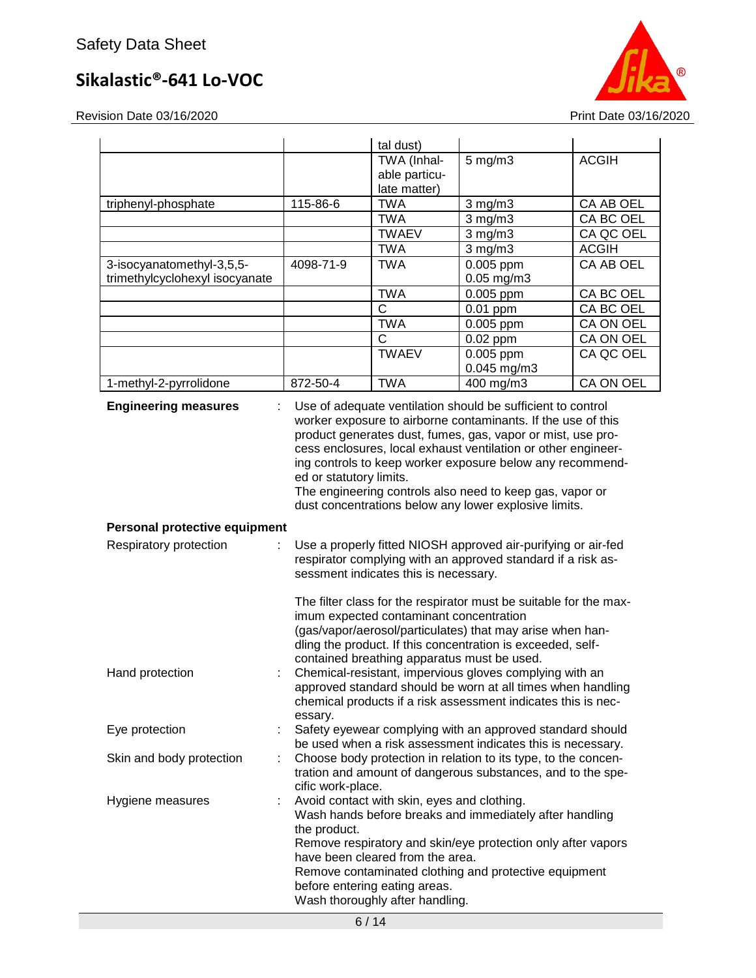Revision Date 03/16/2020 **Print Date 03/16/2020** 

|                                                             |                         | tal dust)                                                                                                                                           |                                                                                                                                                                                                                                                                                                                                                                                          |              |  |
|-------------------------------------------------------------|-------------------------|-----------------------------------------------------------------------------------------------------------------------------------------------------|------------------------------------------------------------------------------------------------------------------------------------------------------------------------------------------------------------------------------------------------------------------------------------------------------------------------------------------------------------------------------------------|--------------|--|
|                                                             |                         | TWA (Inhal-                                                                                                                                         | $5$ mg/m $3$                                                                                                                                                                                                                                                                                                                                                                             | <b>ACGIH</b> |  |
|                                                             |                         | able particu-                                                                                                                                       |                                                                                                                                                                                                                                                                                                                                                                                          |              |  |
|                                                             |                         | late matter)                                                                                                                                        |                                                                                                                                                                                                                                                                                                                                                                                          |              |  |
| triphenyl-phosphate                                         | 115-86-6                | <b>TWA</b>                                                                                                                                          | $3$ mg/m $3$                                                                                                                                                                                                                                                                                                                                                                             | CA AB OEL    |  |
|                                                             |                         | <b>TWA</b>                                                                                                                                          | $3$ mg/m $3$                                                                                                                                                                                                                                                                                                                                                                             | CA BC OEL    |  |
|                                                             |                         | <b>TWAEV</b>                                                                                                                                        | $3$ mg/m $3$                                                                                                                                                                                                                                                                                                                                                                             | CA QC OEL    |  |
|                                                             |                         | <b>TWA</b>                                                                                                                                          | $3$ mg/m $3$                                                                                                                                                                                                                                                                                                                                                                             | <b>ACGIH</b> |  |
| 3-isocyanatomethyl-3,5,5-<br>trimethylcyclohexyl isocyanate | 4098-71-9               | <b>TWA</b>                                                                                                                                          | 0.005 ppm<br>$0.05$ mg/m $3$                                                                                                                                                                                                                                                                                                                                                             | CA AB OEL    |  |
|                                                             |                         | <b>TWA</b>                                                                                                                                          | 0.005 ppm                                                                                                                                                                                                                                                                                                                                                                                | CA BC OEL    |  |
|                                                             |                         | $\mathsf{C}$                                                                                                                                        | $0.01$ ppm                                                                                                                                                                                                                                                                                                                                                                               | CA BC OEL    |  |
|                                                             |                         | <b>TWA</b>                                                                                                                                          | 0.005 ppm                                                                                                                                                                                                                                                                                                                                                                                | CA ON OEL    |  |
|                                                             |                         | $\mathsf{C}$                                                                                                                                        | $0.02$ ppm                                                                                                                                                                                                                                                                                                                                                                               | CA ON OEL    |  |
|                                                             |                         | <b>TWAEV</b>                                                                                                                                        | $0.005$ ppm<br>0.045 mg/m3                                                                                                                                                                                                                                                                                                                                                               | CA QC OEL    |  |
| 1-methyl-2-pyrrolidone                                      | 872-50-4                | <b>TWA</b>                                                                                                                                          | 400 mg/m3                                                                                                                                                                                                                                                                                                                                                                                | CA ON OEL    |  |
|                                                             | ed or statutory limits. |                                                                                                                                                     | worker exposure to airborne contaminants. If the use of this<br>product generates dust, fumes, gas, vapor or mist, use pro-<br>cess enclosures, local exhaust ventilation or other engineer-<br>ing controls to keep worker exposure below any recommend-<br>The engineering controls also need to keep gas, vapor or<br>dust concentrations below any lower explosive limits.           |              |  |
| Personal protective equipment                               |                         |                                                                                                                                                     |                                                                                                                                                                                                                                                                                                                                                                                          |              |  |
| Respiratory protection                                      |                         | sessment indicates this is necessary.                                                                                                               | Use a properly fitted NIOSH approved air-purifying or air-fed<br>respirator complying with an approved standard if a risk as-                                                                                                                                                                                                                                                            |              |  |
| Hand protection                                             | essary.                 | imum expected contaminant concentration<br>contained breathing apparatus must be used.                                                              | The filter class for the respirator must be suitable for the max-<br>(gas/vapor/aerosol/particulates) that may arise when han-<br>dling the product. If this concentration is exceeded, self-<br>Chemical-resistant, impervious gloves complying with an<br>approved standard should be worn at all times when handling<br>chemical products if a risk assessment indicates this is nec- |              |  |
| Eye protection                                              |                         | Safety eyewear complying with an approved standard should<br>be used when a risk assessment indicates this is necessary.                            |                                                                                                                                                                                                                                                                                                                                                                                          |              |  |
| Skin and body protection                                    |                         | Choose body protection in relation to its type, to the concen-<br>tration and amount of dangerous substances, and to the spe-<br>cific work-place.  |                                                                                                                                                                                                                                                                                                                                                                                          |              |  |
| Hygiene measures                                            | the product.            | Avoid contact with skin, eyes and clothing.<br>have been cleared from the area.<br>before entering eating areas.<br>Wash thoroughly after handling. | Wash hands before breaks and immediately after handling<br>Remove respiratory and skin/eye protection only after vapors<br>Remove contaminated clothing and protective equipment                                                                                                                                                                                                         |              |  |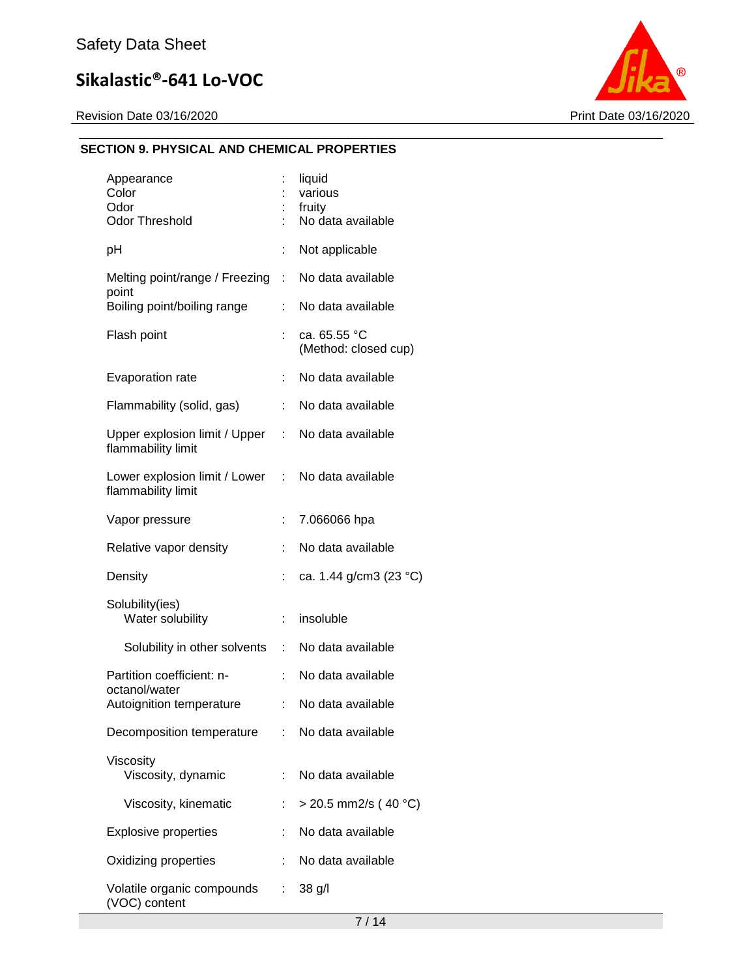Revision Date 03/16/2020 **Print Date 03/16/2020** 



### **SECTION 9. PHYSICAL AND CHEMICAL PROPERTIES**

| Appearance<br>Color<br>Odor<br><b>Odor Threshold</b> |    | liquid<br>various<br>fruity<br>No data available |
|------------------------------------------------------|----|--------------------------------------------------|
| pH                                                   | t  | Not applicable                                   |
| Melting point/range / Freezing<br>point              | ÷  | No data available                                |
| Boiling point/boiling range                          | t. | No data available                                |
| Flash point                                          |    | ca. 65.55 °C<br>(Method: closed cup)             |
| Evaporation rate                                     | t  | No data available                                |
| Flammability (solid, gas)                            | t, | No data available                                |
| Upper explosion limit / Upper<br>flammability limit  | t. | No data available                                |
| Lower explosion limit / Lower<br>flammability limit  | t. | No data available                                |
| Vapor pressure                                       | t  | 7.066066 hpa                                     |
| Relative vapor density                               |    | No data available                                |
| Density                                              |    | ca. 1.44 g/cm3 (23 °C)                           |
| Solubility(ies)<br>Water solubility                  | t, | insoluble                                        |
| Solubility in other solvents                         | t. | No data available                                |
| Partition coefficient: n-<br>octanol/water           | ÷  | No data available                                |
| Autoignition temperature                             | t  | No data available                                |
| Decomposition temperature                            |    | : No data available                              |
| Viscosity<br>Viscosity, dynamic                      |    | No data available                                |
| Viscosity, kinematic                                 |    | $>$ 20.5 mm2/s (40 °C)                           |
| <b>Explosive properties</b>                          | t. | No data available                                |
| Oxidizing properties                                 |    | No data available                                |
| Volatile organic compounds<br>(VOC) content          | t. | $38$ g/l                                         |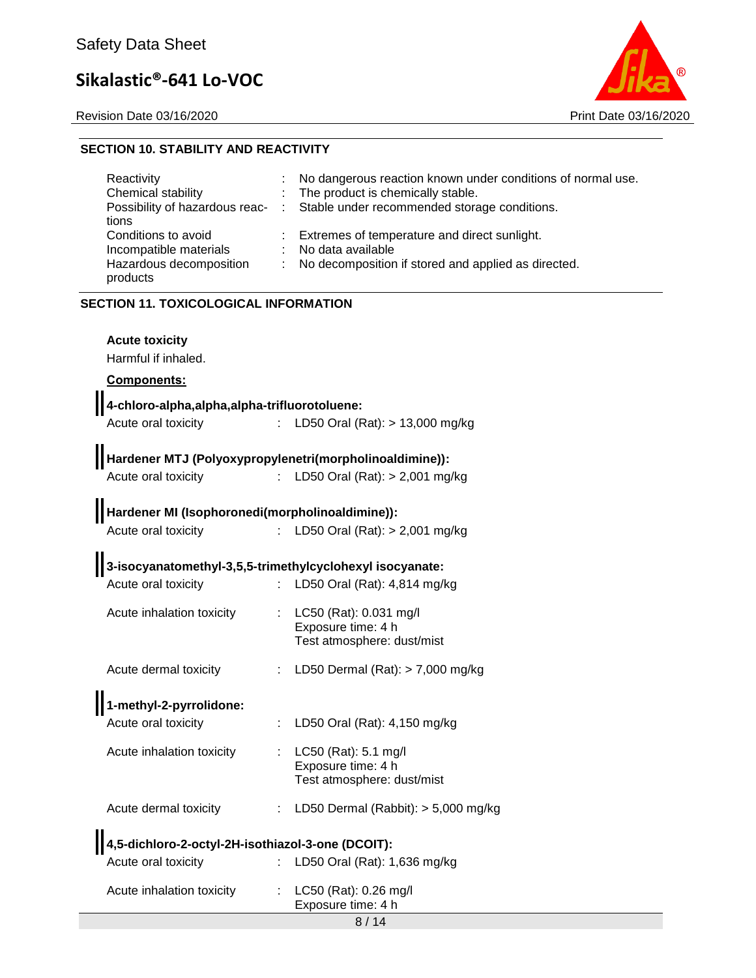Revision Date 03/16/2020 Print Date 03/16/2020



#### **SECTION 10. STABILITY AND REACTIVITY**

| Reactivity<br>Chemical stability<br>Possibility of hazardous reac-<br>tions | A. | No dangerous reaction known under conditions of normal use.<br>The product is chemically stable.<br>Stable under recommended storage conditions. |  |  |  |
|-----------------------------------------------------------------------------|----|--------------------------------------------------------------------------------------------------------------------------------------------------|--|--|--|
| Conditions to avoid<br>Incompatible materials                               |    | Extremes of temperature and direct sunlight.<br>No data available                                                                                |  |  |  |
| Hazardous decomposition<br>products                                         |    | No decomposition if stored and applied as directed.                                                                                              |  |  |  |
| <b>SECTION 11. TOXICOLOGICAL INFORMATION</b>                                |    |                                                                                                                                                  |  |  |  |
| <b>Acute toxicity</b><br>Harmful if inhaled.                                |    |                                                                                                                                                  |  |  |  |
| <b>Components:</b>                                                          |    |                                                                                                                                                  |  |  |  |
| 4-chloro-alpha, alpha, alpha-trifluorotoluene:                              |    |                                                                                                                                                  |  |  |  |

| Acute oral toxicity | : LD50 Oral (Rat): > 13,000 mg/kg |
|---------------------|-----------------------------------|
|                     |                                   |

## **Hardener MTJ (Polyoxypropylenetri(morpholinoaldimine)):**

Acute oral toxicity : LD50 Oral (Rat): > 2,001 mg/kg

## **Hardener MI (Isophoronedi(morpholinoaldimine)):**

Acute oral toxicity : LD50 Oral (Rat): > 2,001 mg/kg

| 3-isocyanatomethyl-3,5,5-trimethylcyclohexyl isocyanate: |                                  |
|----------------------------------------------------------|----------------------------------|
| Acute oral toxicity                                      | : LD50 Oral (Rat): $4,814$ mg/kg |

### Acute inhalation toxicity : LC50 (Rat): 0.031 mg/l Exposure time: 4 h Test atmosphere: dust/mist Acute dermal toxicity : LD50 Dermal (Rat): > 7,000 mg/kg

## **1-methyl-2-pyrrolidone:**

| Acute oral toxicity       | : LD50 Oral (Rat): $4,150$ mg/kg                                             |
|---------------------------|------------------------------------------------------------------------------|
| Acute inhalation toxicity | : $LC50$ (Rat): 5.1 mg/l<br>Exposure time: 4 h<br>Test atmosphere: dust/mist |

8 / 14

Exposure time: 4 h

mg/kg

| 4,5-dichloro-2-octyl-2H-isothiazol-3-one (DCOIT): |                           |
|---------------------------------------------------|---------------------------|
| Acute oral toxicity                               | : LD50 Oral (Rat): 1,636  |
| Acute inhalation toxicity                         | : $LC50$ (Rat): 0.26 mg/l |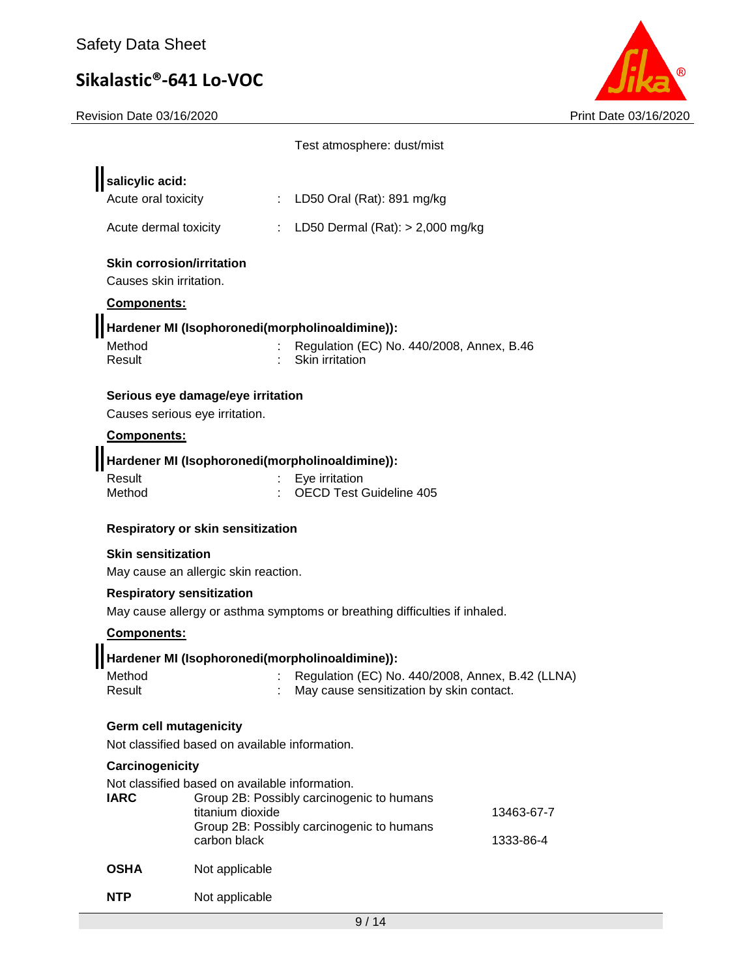

|                                                                                                       |                                                                    | Test atmosphere: dust/mist                                                                                      |            |
|-------------------------------------------------------------------------------------------------------|--------------------------------------------------------------------|-----------------------------------------------------------------------------------------------------------------|------------|
| salicylic acid:<br>Acute oral toxicity                                                                |                                                                    | : LD50 Oral (Rat): 891 mg/kg                                                                                    |            |
| Acute dermal toxicity                                                                                 |                                                                    | : LD50 Dermal $(Rat):$ > 2,000 mg/kg                                                                            |            |
| <b>Skin corrosion/irritation</b><br>Causes skin irritation.<br><b>Components:</b><br>Method<br>Result |                                                                    | Hardener MI (Isophoronedi(morpholinoaldimine)):<br>Regulation (EC) No. 440/2008, Annex, B.46<br>Skin irritation |            |
| Causes serious eye irritation.<br>Components:                                                         | Serious eye damage/eye irritation                                  |                                                                                                                 |            |
| Result<br>Method                                                                                      |                                                                    | Hardener MI (Isophoronedi(morpholinoaldimine)):<br>Eye irritation<br><b>OECD Test Guideline 405</b>             |            |
|                                                                                                       | Respiratory or skin sensitization                                  |                                                                                                                 |            |
| <b>Skin sensitization</b>                                                                             | May cause an allergic skin reaction.                               |                                                                                                                 |            |
| <b>Respiratory sensitization</b>                                                                      |                                                                    |                                                                                                                 |            |
| Components:                                                                                           |                                                                    | May cause allergy or asthma symptoms or breathing difficulties if inhaled.                                      |            |
|                                                                                                       |                                                                    | Hardener MI (Isophoronedi(morpholinoaldimine)):                                                                 |            |
| Method<br>Result                                                                                      |                                                                    | Regulation (EC) No. 440/2008, Annex, B.42 (LLNA)<br>May cause sensitization by skin contact.                    |            |
| <b>Germ cell mutagenicity</b>                                                                         | Not classified based on available information.                     |                                                                                                                 |            |
| Carcinogenicity                                                                                       |                                                                    |                                                                                                                 |            |
| <b>IARC</b>                                                                                           | Not classified based on available information.<br>titanium dioxide | Group 2B: Possibly carcinogenic to humans<br>Group 2B: Possibly carcinogenic to humans                          | 13463-67-7 |
| <b>OSHA</b>                                                                                           | carbon black                                                       |                                                                                                                 | 1333-86-4  |
|                                                                                                       | Not applicable                                                     |                                                                                                                 |            |
| <b>NTP</b>                                                                                            | Not applicable                                                     |                                                                                                                 |            |
|                                                                                                       |                                                                    | 9/14                                                                                                            |            |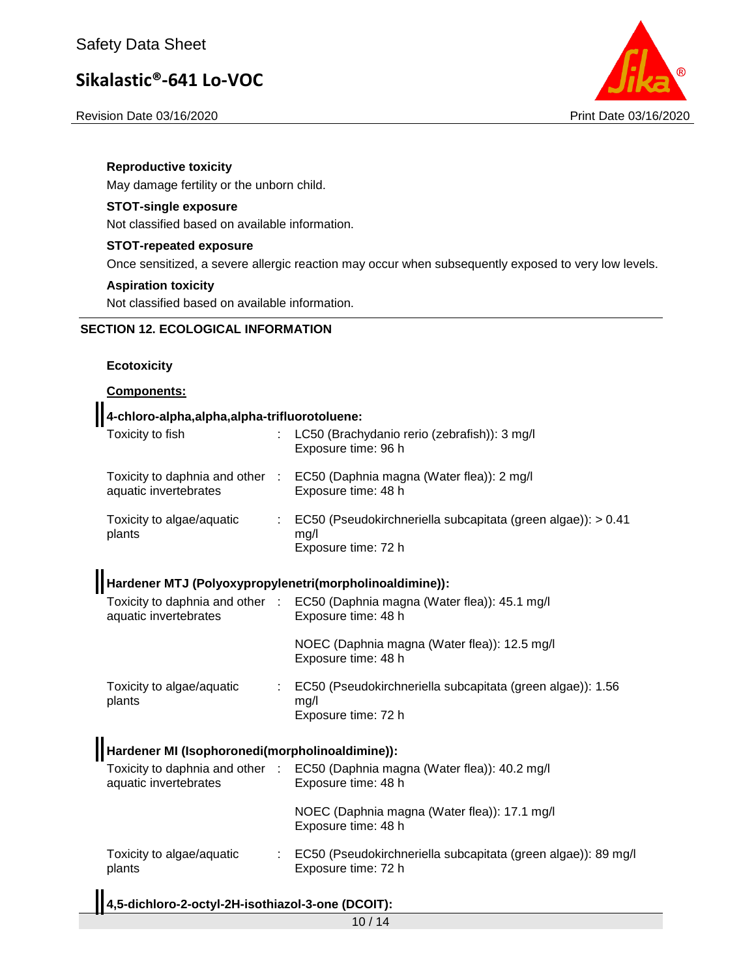Revision Date 03/16/2020 Print Date 03/16/2020



#### **Reproductive toxicity**

May damage fertility or the unborn child.

#### **STOT-single exposure**

Not classified based on available information.

#### **STOT-repeated exposure**

Once sensitized, a severe allergic reaction may occur when subsequently exposed to very low levels.

#### **Aspiration toxicity**

Not classified based on available information.

### **SECTION 12. ECOLOGICAL INFORMATION**

#### **Ecotoxicity**

#### **Components:**

## **4-chloro-alpha,alpha,alpha-trifluorotoluene:**

| Toxicity to fish                                        | LC50 (Brachydanio rerio (zebrafish)): 3 mg/l<br>Exposure time: 96 h                                 |
|---------------------------------------------------------|-----------------------------------------------------------------------------------------------------|
| aquatic invertebrates                                   | Toxicity to daphnia and other : EC50 (Daphnia magna (Water flea)): 2 mg/l<br>Exposure time: 48 h    |
| Toxicity to algae/aquatic<br>plants                     | EC50 (Pseudokirchneriella subcapitata (green algae)): > 0.41<br>mg/l<br>Exposure time: 72 h         |
| Hardener MTJ (Polyoxypropylenetri(morpholinoaldimine)): |                                                                                                     |
| aquatic invertebrates                                   | Toxicity to daphnia and other : EC50 (Daphnia magna (Water flea)): 45.1 mg/l<br>Exposure time: 48 h |
|                                                         | NOEC (Daphnia magna (Water flea)): 12.5 mg/l<br>Exposure time: 48 h                                 |
| Toxicity to algae/aquatic<br>plants                     | EC50 (Pseudokirchneriella subcapitata (green algae)): 1.56<br>mg/l<br>Exposure time: 72 h           |
| Hardener MI (Isophoronedi(morpholinoaldimine)):         |                                                                                                     |
| aquatic invertebrates                                   | Toxicity to daphnia and other : EC50 (Daphnia magna (Water flea)): 40.2 mg/l<br>Exposure time: 48 h |
|                                                         | NOEC (Daphnia magna (Water flea)): 17.1 mg/l<br>Exposure time: 48 h                                 |
| Toxicity to algae/aquatic<br>plants                     | : EC50 (Pseudokirchneriella subcapitata (green algae)): 89 mg/l<br>Exposure time: 72 h              |
|                                                         |                                                                                                     |

### **4,5-dichloro-2-octyl-2H-isothiazol-3-one (DCOIT):**

10 / 14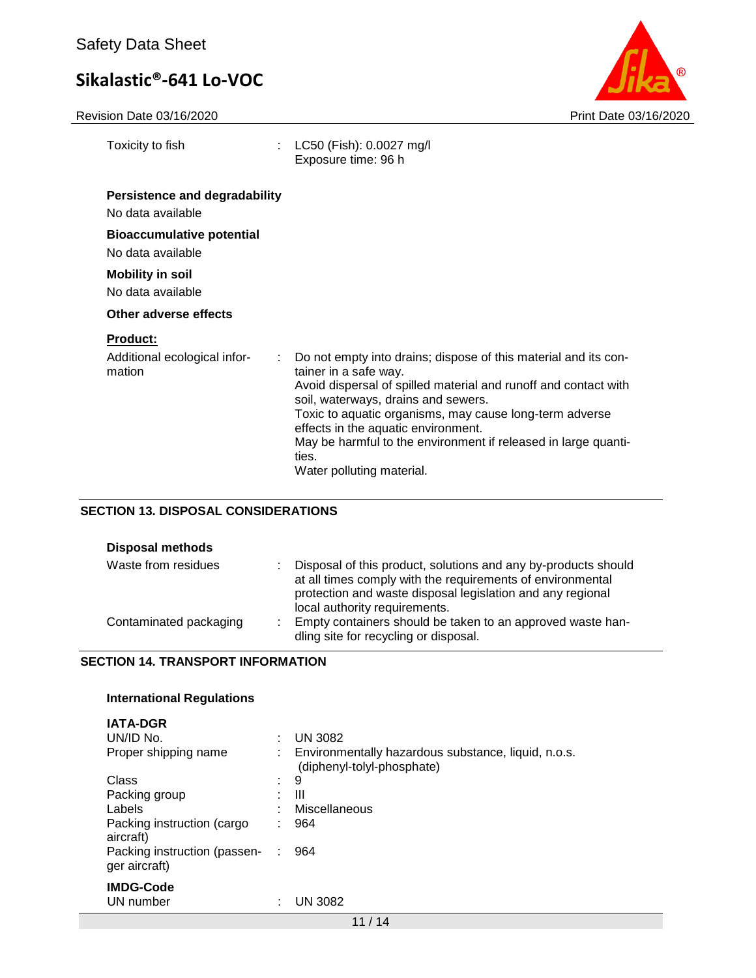Revision Date 03/16/2020 Print Date 03/16/2020

| Toxicity to fish                                               | LC50 (Fish): 0.0027 mg/l<br>Exposure time: 96 h                                                                                                                                                                                                                                                                                                                                                              |
|----------------------------------------------------------------|--------------------------------------------------------------------------------------------------------------------------------------------------------------------------------------------------------------------------------------------------------------------------------------------------------------------------------------------------------------------------------------------------------------|
| <b>Persistence and degradability</b><br>No data available      |                                                                                                                                                                                                                                                                                                                                                                                                              |
| <b>Bioaccumulative potential</b><br>No data available          |                                                                                                                                                                                                                                                                                                                                                                                                              |
| <b>Mobility in soil</b><br>No data available                   |                                                                                                                                                                                                                                                                                                                                                                                                              |
| Other adverse effects                                          |                                                                                                                                                                                                                                                                                                                                                                                                              |
| <u>Product:</u><br>Additional ecological infor-<br>÷<br>mation | Do not empty into drains; dispose of this material and its con-<br>tainer in a safe way.<br>Avoid dispersal of spilled material and runoff and contact with<br>soil, waterways, drains and sewers.<br>Toxic to aquatic organisms, may cause long-term adverse<br>effects in the aquatic environment.<br>May be harmful to the environment if released in large quanti-<br>ties.<br>Water polluting material. |

### **SECTION 13. DISPOSAL CONSIDERATIONS**

| <b>Disposal methods</b> |   |                                                                                                                                                                                                                             |
|-------------------------|---|-----------------------------------------------------------------------------------------------------------------------------------------------------------------------------------------------------------------------------|
| Waste from residues     |   | Disposal of this product, solutions and any by-products should<br>at all times comply with the requirements of environmental<br>protection and waste disposal legislation and any regional<br>local authority requirements. |
| Contaminated packaging  | ٠ | Empty containers should be taken to an approved waste han-<br>dling site for recycling or disposal.                                                                                                                         |

#### **SECTION 14. TRANSPORT INFORMATION**

#### **International Regulations**

| <b>IATA-DGR</b>                               |   |                                                                                   |
|-----------------------------------------------|---|-----------------------------------------------------------------------------------|
| UN/ID No.                                     | ٠ | <b>UN 3082</b>                                                                    |
| Proper shipping name                          |   | Environmentally hazardous substance, liquid, n.o.s.<br>(diphenyl-tolyl-phosphate) |
| Class                                         | ٠ | 9                                                                                 |
| Packing group                                 | ٠ | Ш                                                                                 |
| Labels                                        |   | Miscellaneous                                                                     |
| Packing instruction (cargo<br>aircraft)       | ÷ | 964                                                                               |
| Packing instruction (passen-<br>ger aircraft) |   | 964                                                                               |
| <b>IMDG-Code</b>                              |   |                                                                                   |
| UN number                                     | ٠ | UN 3082                                                                           |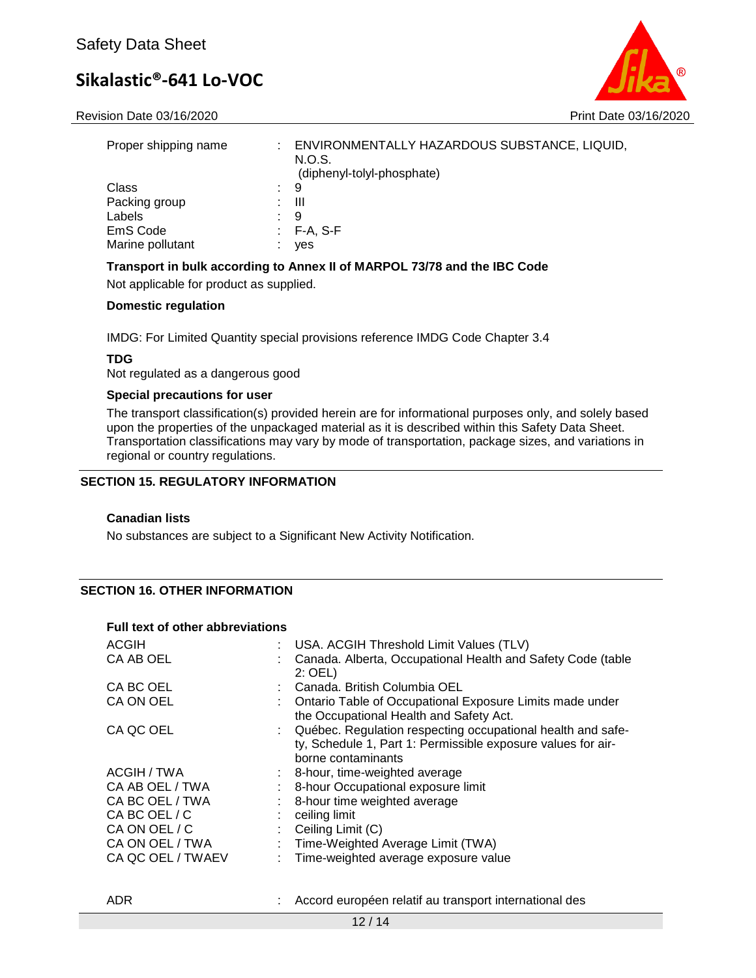

| Proper shipping name |    | ENVIRONMENTALLY HAZARDOUS SUBSTANCE, LIQUID,<br>N.O.S.<br>(diphenyl-tolyl-phosphate) |
|----------------------|----|--------------------------------------------------------------------------------------|
| <b>Class</b>         | ÷. | 9                                                                                    |
| Packing group        |    | Ш                                                                                    |
| Labels               |    | 9                                                                                    |
| EmS Code             |    | F-A. S-F                                                                             |
| Marine pollutant     |    | ves                                                                                  |

#### **Transport in bulk according to Annex II of MARPOL 73/78 and the IBC Code**

Not applicable for product as supplied.

#### **Domestic regulation**

IMDG: For Limited Quantity special provisions reference IMDG Code Chapter 3.4

#### **TDG**

Not regulated as a dangerous good

#### **Special precautions for user**

The transport classification(s) provided herein are for informational purposes only, and solely based upon the properties of the unpackaged material as it is described within this Safety Data Sheet. Transportation classifications may vary by mode of transportation, package sizes, and variations in regional or country regulations.

#### **SECTION 15. REGULATORY INFORMATION**

#### **Canadian lists**

No substances are subject to a Significant New Activity Notification.

#### **SECTION 16. OTHER INFORMATION**

#### **Full text of other abbreviations**

| <b>ACGIH</b>      | USA. ACGIH Threshold Limit Values (TLV)                                                                                                             |
|-------------------|-----------------------------------------------------------------------------------------------------------------------------------------------------|
| CA AB OEL         | Canada. Alberta, Occupational Health and Safety Code (table<br>$2:$ OEL)                                                                            |
| CA BC OEL         | Canada. British Columbia OEL                                                                                                                        |
| CA ON OEL         | Ontario Table of Occupational Exposure Limits made under<br>the Occupational Health and Safety Act.                                                 |
| CA QC OEL         | : Québec. Regulation respecting occupational health and safe-<br>ty, Schedule 1, Part 1: Permissible exposure values for air-<br>borne contaminants |
| ACGIH / TWA       | : 8-hour, time-weighted average                                                                                                                     |
| CA AB OEL / TWA   | 8-hour Occupational exposure limit                                                                                                                  |
| CA BC OEL / TWA   | 8-hour time weighted average                                                                                                                        |
| CA BC OEL / C     | ceiling limit                                                                                                                                       |
| CA ON OEL / C     | Ceiling Limit (C)                                                                                                                                   |
| CA ON OEL / TWA   | Time-Weighted Average Limit (TWA)                                                                                                                   |
| CA QC OEL / TWAEV | : Time-weighted average exposure value                                                                                                              |
|                   |                                                                                                                                                     |

#### ADR : Accord européen relatif au transport international des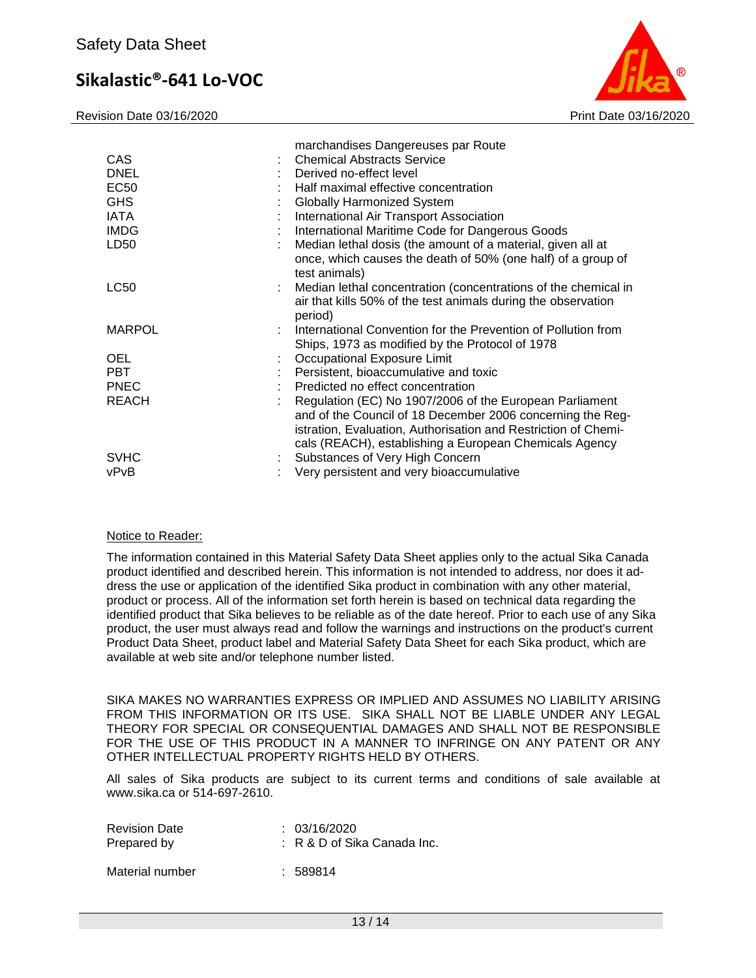Revision Date 03/16/2020 Print Date 03/16/2020



| <b>CAS</b><br><b>DNEL</b><br>EC50<br><b>GHS</b><br><b>IATA</b><br><b>IMDG</b><br>LD50 | marchandises Dangereuses par Route<br><b>Chemical Abstracts Service</b><br>Derived no-effect level<br>Half maximal effective concentration<br><b>Globally Harmonized System</b><br>International Air Transport Association<br>International Maritime Code for Dangerous Goods<br>Median lethal dosis (the amount of a material, given all at<br>once, which causes the death of 50% (one half) of a group of<br>test animals) |
|---------------------------------------------------------------------------------------|-------------------------------------------------------------------------------------------------------------------------------------------------------------------------------------------------------------------------------------------------------------------------------------------------------------------------------------------------------------------------------------------------------------------------------|
| <b>LC50</b>                                                                           | Median lethal concentration (concentrations of the chemical in<br>air that kills 50% of the test animals during the observation<br>period)                                                                                                                                                                                                                                                                                    |
| <b>MARPOL</b>                                                                         | International Convention for the Prevention of Pollution from<br>Ships, 1973 as modified by the Protocol of 1978                                                                                                                                                                                                                                                                                                              |
| <b>OEL</b>                                                                            | Occupational Exposure Limit                                                                                                                                                                                                                                                                                                                                                                                                   |
| <b>PBT</b>                                                                            | Persistent, bioaccumulative and toxic                                                                                                                                                                                                                                                                                                                                                                                         |
| <b>PNEC</b>                                                                           | Predicted no effect concentration                                                                                                                                                                                                                                                                                                                                                                                             |
| <b>REACH</b>                                                                          | Regulation (EC) No 1907/2006 of the European Parliament<br>and of the Council of 18 December 2006 concerning the Reg-<br>istration, Evaluation, Authorisation and Restriction of Chemi-<br>cals (REACH), establishing a European Chemicals Agency                                                                                                                                                                             |
| <b>SVHC</b>                                                                           | Substances of Very High Concern                                                                                                                                                                                                                                                                                                                                                                                               |
| vPvB                                                                                  | Very persistent and very bioaccumulative                                                                                                                                                                                                                                                                                                                                                                                      |

#### Notice to Reader:

The information contained in this Material Safety Data Sheet applies only to the actual Sika Canada product identified and described herein. This information is not intended to address, nor does it address the use or application of the identified Sika product in combination with any other material, product or process. All of the information set forth herein is based on technical data regarding the identified product that Sika believes to be reliable as of the date hereof. Prior to each use of any Sika product, the user must always read and follow the warnings and instructions on the product's current Product Data Sheet, product label and Material Safety Data Sheet for each Sika product, which are available at web site and/or telephone number listed.

SIKA MAKES NO WARRANTIES EXPRESS OR IMPLIED AND ASSUMES NO LIABILITY ARISING FROM THIS INFORMATION OR ITS USE. SIKA SHALL NOT BE LIABLE UNDER ANY LEGAL THEORY FOR SPECIAL OR CONSEQUENTIAL DAMAGES AND SHALL NOT BE RESPONSIBLE FOR THE USE OF THIS PRODUCT IN A MANNER TO INFRINGE ON ANY PATENT OR ANY OTHER INTELLECTUAL PROPERTY RIGHTS HELD BY OTHERS.

All sales of Sika products are subject to its current terms and conditions of sale available at www.sika.ca or 514-697-2610.

| <b>Revision Date</b><br>Prepared by | : 03/16/2020<br>$\therefore$ R & D of Sika Canada Inc. |
|-------------------------------------|--------------------------------------------------------|
| Material number                     | : 589814                                               |